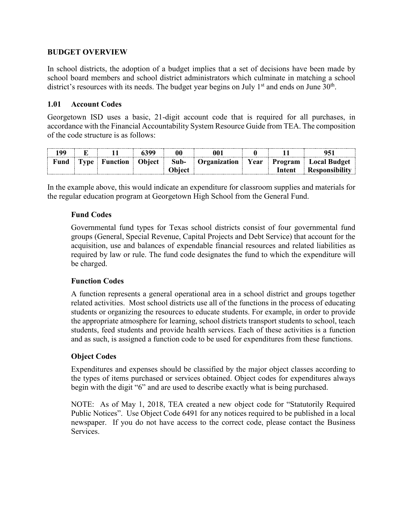#### **BUDGET OVERVIEW**

In school districts, the adoption of a budget implies that a set of decisions have been made by school board members and school district administrators which culminate in matching a school district's resources with its needs. The budget year begins on July  $1<sup>st</sup>$  and ends on June  $30<sup>th</sup>$ .

### **1.01 Account Codes**

Georgetown ISD uses a basic, 21-digit account code that is required for all purchases, in accordance with the Financial Accountability System Resource Guide from TEA. The composition of the code structure is as follows:

|      |             |                 |        |               | NO 1                |        |                               |
|------|-------------|-----------------|--------|---------------|---------------------|--------|-------------------------------|
| Fund | <b>Type</b> | <b>Function</b> | Object | Sub-          | <b>Organization</b> |        | <b>Program</b>   Local Budget |
|      |             |                 |        | <b>Object</b> |                     | Intent | Responsibility                |

In the example above, this would indicate an expenditure for classroom supplies and materials for the regular education program at Georgetown High School from the General Fund.

### **Fund Codes**

Governmental fund types for Texas school districts consist of four governmental fund groups (General, Special Revenue, Capital Projects and Debt Service) that account for the acquisition, use and balances of expendable financial resources and related liabilities as required by law or rule. The fund code designates the fund to which the expenditure will be charged.

#### **Function Codes**

A function represents a general operational area in a school district and groups together related activities. Most school districts use all of the functions in the process of educating students or organizing the resources to educate students. For example, in order to provide the appropriate atmosphere for learning, school districts transport students to school, teach students, feed students and provide health services. Each of these activities is a function and as such, is assigned a function code to be used for expenditures from these functions.

## **Object Codes**

Expenditures and expenses should be classified by the major object classes according to the types of items purchased or services obtained. Object codes for expenditures always begin with the digit "6" and are used to describe exactly what is being purchased.

NOTE: As of May 1, 2018, TEA created a new object code for "Statutorily Required Public Notices". Use Object Code 6491 for any notices required to be published in a local newspaper. If you do not have access to the correct code, please contact the Business Services.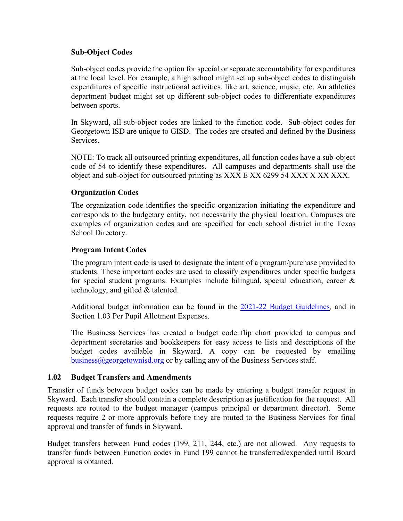#### **Sub-Object Codes**

Sub-object codes provide the option for special or separate accountability for expenditures at the local level. For example, a high school might set up sub-object codes to distinguish expenditures of specific instructional activities, like art, science, music, etc. An athletics department budget might set up different sub-object codes to differentiate expenditures between sports.

In Skyward, all sub-object codes are linked to the function code. Sub-object codes for Georgetown ISD are unique to GISD. The codes are created and defined by the Business Services.

NOTE: To track all outsourced printing expenditures, all function codes have a sub-object code of 54 to identify these expenditures. All campuses and departments shall use the object and sub-object for outsourced printing as XXX E XX 6299 54 XXX X XX XXX.

## **Organization Codes**

The organization code identifies the specific organization initiating the expenditure and corresponds to the budgetary entity, not necessarily the physical location. Campuses are examples of organization codes and are specified for each school district in the Texas School Directory.

### **Program Intent Codes**

The program intent code is used to designate the intent of a program/purchase provided to students. These important codes are used to classify expenditures under specific budgets for special student programs. Examples include bilingual, special education, career & technology, and gifted & talented.

Additional budget information can be found in the [2021-22 Budget Guidelines](https://www.georgetownisd.org/cms/lib/TX01001838/Centricity/Domain/57/GISD-Budget%20Guidelines%202020-21.pdf)*,* and in Section 1.03 Per Pupil Allotment Expenses.

The Business Services has created a budget code flip chart provided to campus and department secretaries and bookkeepers for easy access to lists and descriptions of the budget codes available in Skyward. A copy can be requested by emailing [business@georgetownisd.org](mailto:business@georgetownisd.org) or by calling any of the Business Services staff.

## **1.02 Budget Transfers and Amendments**

Transfer of funds between budget codes can be made by entering a budget transfer request in Skyward. Each transfer should contain a complete description as justification for the request. All requests are routed to the budget manager (campus principal or department director). Some requests require 2 or more approvals before they are routed to the Business Services for final approval and transfer of funds in Skyward.

Budget transfers between Fund codes (199, 211, 244, etc.) are not allowed. Any requests to transfer funds between Function codes in Fund 199 cannot be transferred/expended until Board approval is obtained.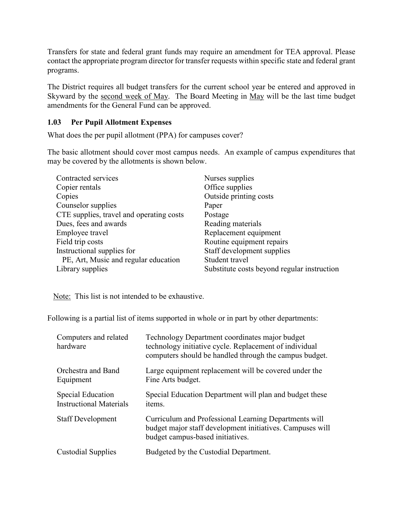Transfers for state and federal grant funds may require an amendment for TEA approval. Please contact the appropriate program director for transfer requests within specific state and federal grant programs.

The District requires all budget transfers for the current school year be entered and approved in Skyward by the second week of May. The Board Meeting in May will be the last time budget amendments for the General Fund can be approved.

# **1.03 Per Pupil Allotment Expenses**

What does the per pupil allotment (PPA) for campuses cover?

The basic allotment should cover most campus needs. An example of campus expenditures that may be covered by the allotments is shown below.

| Contracted services                      | Nurses supplies                             |
|------------------------------------------|---------------------------------------------|
| Copier rentals                           | Office supplies                             |
| Copies                                   | Outside printing costs                      |
| Counselor supplies                       | Paper                                       |
| CTE supplies, travel and operating costs | Postage                                     |
| Dues, fees and awards                    | Reading materials                           |
| Employee travel                          | Replacement equipment                       |
| Field trip costs                         | Routine equipment repairs                   |
| Instructional supplies for               | Staff development supplies                  |
| PE, Art, Music and regular education     | Student travel                              |
| Library supplies                         | Substitute costs beyond regular instruction |

Note: This list is not intended to be exhaustive.

Following is a partial list of items supported in whole or in part by other departments:

| Computers and related<br>hardware                          | Technology Department coordinates major budget<br>technology initiative cycle. Replacement of individual<br>computers should be handled through the campus budget. |
|------------------------------------------------------------|--------------------------------------------------------------------------------------------------------------------------------------------------------------------|
| Orchestra and Band<br>Equipment                            | Large equipment replacement will be covered under the<br>Fine Arts budget.                                                                                         |
| <b>Special Education</b><br><b>Instructional Materials</b> | Special Education Department will plan and budget these<br>items.                                                                                                  |
| <b>Staff Development</b>                                   | Curriculum and Professional Learning Departments will<br>budget major staff development initiatives. Campuses will<br>budget campus-based initiatives.             |
| <b>Custodial Supplies</b>                                  | Budgeted by the Custodial Department.                                                                                                                              |